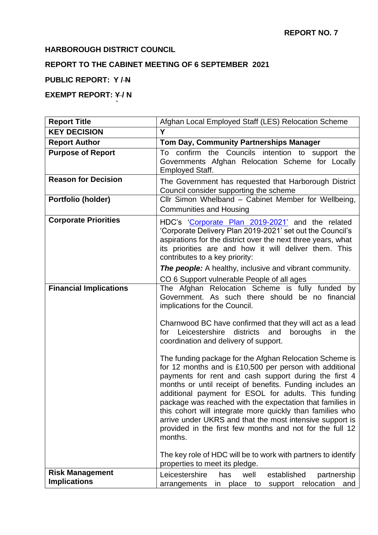### **HARBOROUGH DISTRICT COUNCIL**

**`**

# **REPORT TO THE CABINET MEETING OF 6 SEPTEMBER 2021**

#### **PUBLIC REPORT: Y / N**

## **EXEMPT REPORT: Y/N**

| <b>Report Title</b>                           | Afghan Local Employed Staff (LES) Relocation Scheme                                                                                                                                                                                                                                                                                                                                                                                                                                                                                                          |  |  |  |
|-----------------------------------------------|--------------------------------------------------------------------------------------------------------------------------------------------------------------------------------------------------------------------------------------------------------------------------------------------------------------------------------------------------------------------------------------------------------------------------------------------------------------------------------------------------------------------------------------------------------------|--|--|--|
| <b>KEY DECISION</b>                           | Y                                                                                                                                                                                                                                                                                                                                                                                                                                                                                                                                                            |  |  |  |
| <b>Report Author</b>                          | Tom Day, Community Partnerships Manager                                                                                                                                                                                                                                                                                                                                                                                                                                                                                                                      |  |  |  |
| <b>Purpose of Report</b>                      | To confirm the Councils intention to support the<br>Governments Afghan Relocation Scheme for Locally<br><b>Employed Staff.</b>                                                                                                                                                                                                                                                                                                                                                                                                                               |  |  |  |
| <b>Reason for Decision</b>                    | The Government has requested that Harborough District<br>Council consider supporting the scheme                                                                                                                                                                                                                                                                                                                                                                                                                                                              |  |  |  |
| Portfolio (holder)                            | Cllr Simon Whelband - Cabinet Member for Wellbeing,<br><b>Communities and Housing</b>                                                                                                                                                                                                                                                                                                                                                                                                                                                                        |  |  |  |
| <b>Corporate Priorities</b>                   | HDC's 'Corporate Plan 2019-2021' and the related<br>'Corporate Delivery Plan 2019-2021' set out the Council's<br>aspirations for the district over the next three years, what<br>its priorities are and how it will deliver them. This<br>contributes to a key priority:                                                                                                                                                                                                                                                                                     |  |  |  |
|                                               | <b>The people:</b> A healthy, inclusive and vibrant community.                                                                                                                                                                                                                                                                                                                                                                                                                                                                                               |  |  |  |
| <b>Financial Implications</b>                 | CO 6 Support vulnerable People of all ages<br>The Afghan Relocation Scheme is fully funded by<br>Government. As such there should be no financial<br>implications for the Council.<br>Charnwood BC have confirmed that they will act as a lead<br>for Leicestershire districts<br>and<br>boroughs<br>the<br>in<br>coordination and delivery of support.                                                                                                                                                                                                      |  |  |  |
|                                               | The funding package for the Afghan Relocation Scheme is<br>for 12 months and is £10,500 per person with additional<br>payments for rent and cash support during the first 4<br>months or until receipt of benefits. Funding includes an<br>additional payment for ESOL for adults. This funding<br>package was reached with the expectation that families in<br>this cohort will integrate more quickly than families who<br>arrive under UKRS and that the most intensive support is<br>provided in the first few months and not for the full 12<br>months. |  |  |  |
|                                               | The key role of HDC will be to work with partners to identify<br>properties to meet its pledge.                                                                                                                                                                                                                                                                                                                                                                                                                                                              |  |  |  |
| <b>Risk Management</b><br><b>Implications</b> | Leicestershire<br>established<br>has<br>well<br>partnership<br>support relocation<br>arrangements<br>in place to<br>and                                                                                                                                                                                                                                                                                                                                                                                                                                      |  |  |  |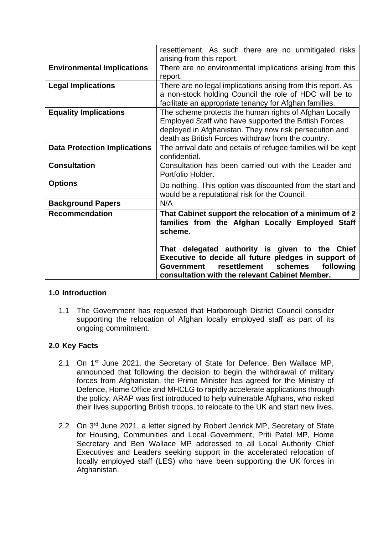|                                     | resettlement. As such there are no unmitigated risks<br>arising from this report.                                                                                                                                                                                                                                                  |  |  |
|-------------------------------------|------------------------------------------------------------------------------------------------------------------------------------------------------------------------------------------------------------------------------------------------------------------------------------------------------------------------------------|--|--|
| <b>Environmental Implications</b>   | There are no environmental implications arising from this<br>report.                                                                                                                                                                                                                                                               |  |  |
| <b>Legal Implications</b>           | There are no legal implications arising from this report. As<br>a non-stock holding Council the role of HDC will be to<br>facilitate an appropriate tenancy for Afghan families.                                                                                                                                                   |  |  |
| <b>Equality Implications</b>        | The scheme protects the human rights of Afghan Locally<br>Employed Staff who have supported the British Forces<br>deployed in Afghanistan. They now risk persecution and<br>death as British Forces withdraw from the country.                                                                                                     |  |  |
| <b>Data Protection Implications</b> | The arrival date and details of refugee families will be kept<br>confidential.                                                                                                                                                                                                                                                     |  |  |
| <b>Consultation</b>                 | Consultation has been carried out with the Leader and<br>Portfolio Holder.                                                                                                                                                                                                                                                         |  |  |
| <b>Options</b>                      | Do nothing. This option was discounted from the start and<br>would be a reputational risk for the Council.                                                                                                                                                                                                                         |  |  |
| <b>Background Papers</b>            | N/A                                                                                                                                                                                                                                                                                                                                |  |  |
| <b>Recommendation</b>               | That Cabinet support the relocation of a minimum of 2<br>families from the Afghan Locally Employed Staff<br>scheme.<br>That delegated authority is given to the Chief<br>Executive to decide all future pledges in support of<br>resettlement schemes<br>following<br>Government<br>consultation with the relevant Cabinet Member. |  |  |

### **1.0 Introduction**

1.1 The Government has requested that Harborough District Council consider supporting the relocation of Afghan locally employed staff as part of its ongoing commitment.

### **2.0 Key Facts**

- 2.1 On 1<sup>st</sup> June 2021, the Secretary of State for Defence, Ben Wallace MP, announced that following the decision to begin the withdrawal of military forces from Afghanistan, the Prime Minister has agreed for the Ministry of Defence, Home Office and MHCLG to rapidly accelerate applications through the policy. ARAP was first introduced to help vulnerable Afghans, who risked their lives supporting British troops, to relocate to the UK and start new lives.
- 2.2 On 3<sup>rd</sup> June 2021, a letter signed by Robert Jenrick MP, Secretary of State for Housing, Communities and Local Government, Priti Patel MP, Home Secretary and Ben Wallace MP addressed to all Local Authority Chief Executives and Leaders seeking support in the accelerated relocation of locally employed staff (LES) who have been supporting the UK forces in Afghanistan.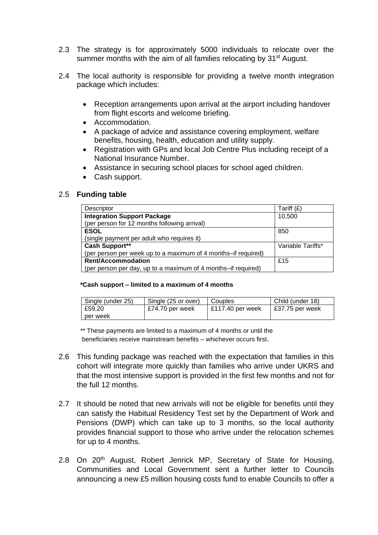- 2.3 The strategy is for approximately 5000 individuals to relocate over the summer months with the aim of all families relocating by 31<sup>st</sup> August.
- 2.4 The local authority is responsible for providing a twelve month integration package which includes:
	- Reception arrangements upon arrival at the airport including handover from flight escorts and welcome briefing.
	- Accommodation.
	- A package of advice and assistance covering employment, welfare benefits, housing, health, education and utility supply.
	- Registration with GPs and local Job Centre Plus including receipt of a National Insurance Number.
	- Assistance in securing school places for school aged children.
	- Cash support.

#### 2.5 **Funding table**

| Descriptor                                                    | Tariff (£)        |
|---------------------------------------------------------------|-------------------|
| <b>Integration Support Package</b>                            | 10,500            |
| (per person for 12 months following arrival)                  |                   |
| <b>ESOL</b>                                                   | 850               |
| (single payment per adult who requires it)                    |                   |
| <b>Cash Support**</b>                                         | Variable Tariffs* |
| (per person per week up to a maximum of 4 months-if required) |                   |
| <b>Rent/Accommodation</b>                                     | £15               |
| (per person per day, up to a maximum of 4 months-if required) |                   |

#### **\*Cash support – limited to a maximum of 4 months**

| Single (under 25) | l Sinale (25 or over) | Couples            | Child (under 18) |
|-------------------|-----------------------|--------------------|------------------|
| £59.20            | £74.70 per week       | $E117.40$ per week | £37.75 per week  |
| per week          |                       |                    |                  |

 \*\* These payments are limited to a maximum of 4 months or until the beneficiaries receive mainstream benefits – whichever occurs first.

- 2.6 This funding package was reached with the expectation that families in this cohort will integrate more quickly than families who arrive under UKRS and that the most intensive support is provided in the first few months and not for the full 12 months.
- 2.7 It should be noted that new arrivals will not be eligible for benefits until they can satisfy the Habitual Residency Test set by the Department of Work and Pensions (DWP) which can take up to 3 months, so the local authority provides financial support to those who arrive under the relocation schemes for up to 4 months.
- 2.8 On 20<sup>th</sup> August, Robert Jenrick MP, Secretary of State for Housing, Communities and Local Government sent a further letter to Councils announcing a new £5 million housing costs fund to enable Councils to offer a